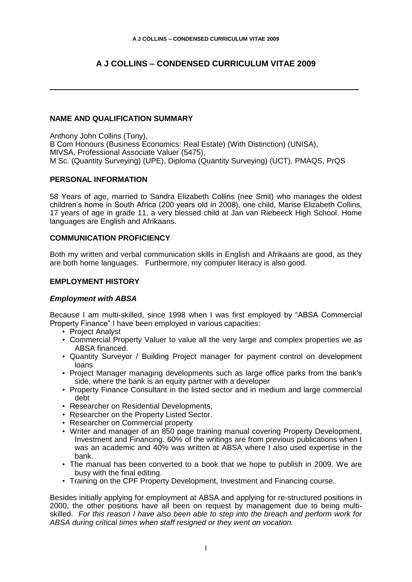# **A J COLLINS – CONDENSED CURRICULUM VITAE 2009**

# **NAME AND QUALIFICATION SUMMARY**

Anthony John Collins (Tony), B Com Honours (Business Economics: Real Estate) (With Distinction) (UNISA), MIVSA, Professional Associate Valuer (5475), M Sc. (Quantity Surveying) (UPE), Diploma (Quantity Surveying) (UCT), PMAQS, PrQS

# **PERSONAL INFORMATION**

58 Years of age, married to Sandra Elizabeth Collins (nee Smit) who manages the oldest children's home in South Africa (200 years old in 2008), one child, Marise Elizabeth Collins, 17 years of age in grade 11, a very blessed child at Jan van Riebeeck High School. Home languages are English and Afrikaans.

## **COMMUNICATION PROFICIENCY**

Both my written and verbal communication skills in English and Afrikaans are good, as they are both home languages. Furthermore, my computer literacy is also good.

## **EMPLOYMENT HISTORY**

#### *Employment with ABSA*

Because I am multi-skilled, since 1998 when I was first employed by "ABSA Commercial Property Finance" I have been employed in various capacities:

- Project Analyst
- Commercial Property Valuer to value all the very large and complex properties we as ABSA financed.
- Quantity Surveyor / Building Project manager for payment control on development loans
- Project Manager managing developments such as large office parks from the bank's side, where the bank is an equity partner with a developer
- Property Finance Consultant in the listed sector and in medium and large commercial debt
- Researcher on Residential Developments,
- Researcher on the Property Listed Sector.
- Researcher on Commercial property
- Writer and manager of an 850 page training manual covering Property Development, Investment and Financing. 60% of the writings are from previous publications when I was an academic and 40% was written at ABSA where I also used expertise in the bank.
- The manual has been converted to a book that we hope to publish in 2009. We are busy with the final editing.
- Training on the CPF Property Development, Investment and Financing course.

Besides initially applying for employment at ABSA and applying for re-structured positions in 2000, the other positions have all been on request by management due to being multiskilled. *For this reason I have also been able to step into the breach and perform work for ABSA during critical times when staff resigned or they went on vocation.*